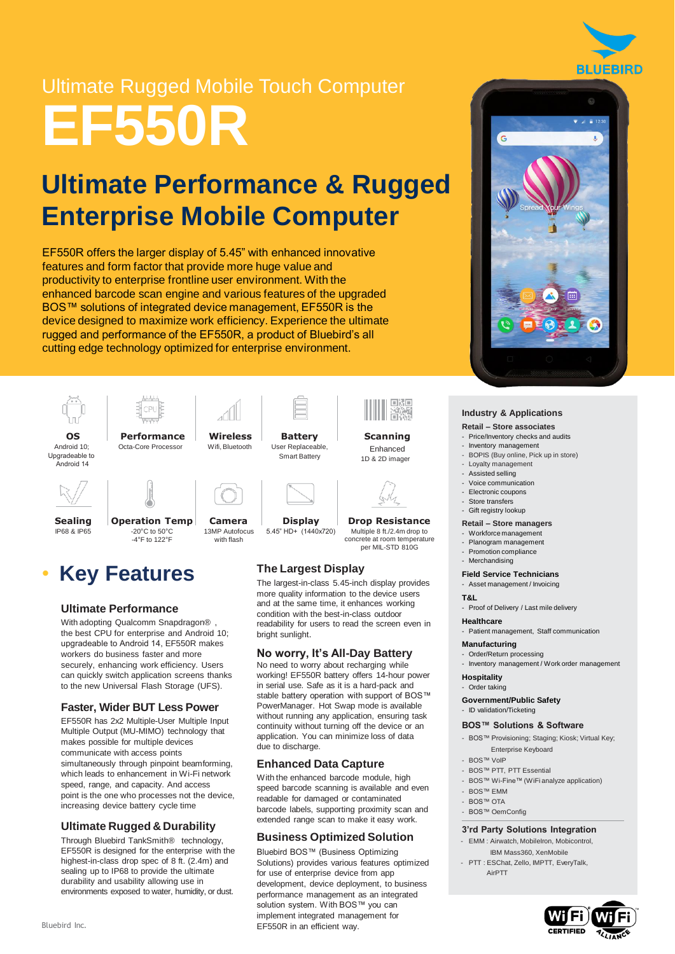# Ultimate Rugged Mobile Touch Computer **EF550R**

## **Ultimate Performance & Rugged Enterprise Mobile Computer**

EF550R offers the larger display of 5.45" with enhanced innovative features and form factor that provide more huge value and productivity to enterprise frontline user environment. With the enhanced barcode scan engine and various features of the upgraded BOS™ solutions of integrated device management, EF550R is the device designed to maximize work efficiency. Experience the ultimate rugged and performance of the EF550R, a product of Bluebird's all cutting edge technology optimized for enterprise environment.



## • **Key Features**

#### **Ultimate Performance**

With adopting Qualcomm Snapdragon® the best CPU for enterprise and Android 10; upgradeable to Android 14, EF550R makes workers do business faster and more securely, enhancing work efficiency. Users can quickly switch application screens thanks to the new Universal Flash Storage (UFS).

#### **Faster, Wider BUT Less Power**

EF550R has 2x2 Multiple-User Multiple Input Multiple Output (MU-MIMO) technology that makes possible for multiple devices communicate with access points simultaneously through pinpoint beamforming, which leads to enhancement in Wi-Fi network speed, range, and capacity. And access point is the one who processes not the device, increasing device battery cycle time

#### **Ultimate Rugged & Durability**

Through Bluebird TankSmith® technology, EF550R is designed for the enterprise with the highest-in-class drop spec of 8 ft. (2.4m) and sealing up to IP68 to provide the ultimate durability and usability allowing use in environments exposed to water, humidity, or dust.

#### **The Largest Display**

The largest-in-class 5.45-inch display provides more quality information to the device users and at the same time, it enhances working condition with the best-in-class outdoor readability for users to read the screen even in bright sunlight.

#### **No worry, It's All-Day Battery**

No need to worry about recharging while working! EF550R battery offers 14-hour power in serial use. Safe as it is a hard-pack and stable battery operation with support of BOS™ PowerManager. Hot Swap mode is available without running any application, ensuring task continuity without turning off the device or an application. You can minimize loss of data due to discharge.

#### **Enhanced Data Capture**

With the enhanced barcode module, high speed barcode scanning is available and even readable for damaged or contaminated barcode labels, supporting proximity scan and extended range scan to make it easy work.

#### **Business Optimized Solution**

Bluebird BOS™ (Business Optimizing Solutions) provides various features optimized for use of enterprise device from app development, device deployment, to business performance management as an integrated solution system. With BOS™ you can implement integrated management for EF550R in an efficient way.



#### **Industry & Applications**

#### **Retail – Store associates**

- Price/Inventory checks and audits - Inventory management
- BOPIS (Buy online, Pick up in store)
- Loyalty management
- Assisted selling
- Voice communication
- Electronic coupons
- Store transfers
- Gift registry lookup

#### **Retail – Store managers**

- Workforce management
- Planogram management
- Promotion compliance
- Merchandising
- **Field Service Technicians**

#### - Asset management / Invoicing

- **T&L**
- Proof of Delivery / Last mile delivery

#### **Healthcare**

- Patient management, Staff communication

#### **Manufacturing**

- Order/Return processing
- Inventory management / Work order management
- **Hospitality** - Order taking
- 
- **Government/Public Safety** - ID validation/Ticketing

#### **BOS™ Solutions & Software**

- BOS™ Provisioning; Staging; Kiosk; Virtual Key; Enterprise Keyboard
- BOS™ VoIP
- BOS™ PTT, PTT Essential
- BOS™ Wi-Fine™ (WiFi analyze application)
- BOS™ EMM
- BOS™ OTA
- BOS™ OemConfig

#### **3'rd Party Solutions Integration**

- EMM : Airwatch, MobileIron, Mobicontrol, IBM Mass360, XenMobile
- PTT : ESChat, Zello, IMPTT, EveryTalk, AirPTT

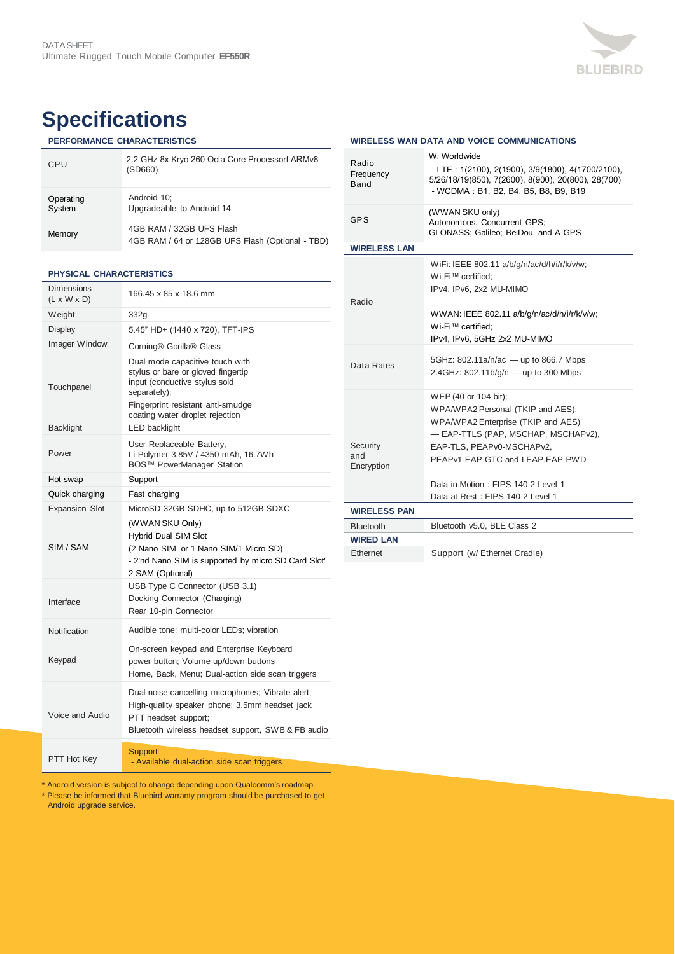

### **Specifications**

### **PERFORMANCE CHARACTERISTICS**

| CPU                 | 2.2 GHz 8x Kryo 260 Octa Core Processort ARMv8<br>(SD660)                    |
|---------------------|------------------------------------------------------------------------------|
| Operating<br>System | Android 10;<br>Upgradeable to Android 14                                     |
| Memory              | 4GB RAM / 32GB UFS Flash<br>4GB RAM / 64 or 128GB UFS Flash (Optional - TBD) |

#### **PHYSICAL CHARACTERISTICS**

| Dimensions<br>$(L \times W \times D)$ | 166.45 x 85 x 18.6 mm                                                                                                                                                                          |
|---------------------------------------|------------------------------------------------------------------------------------------------------------------------------------------------------------------------------------------------|
| Weight                                | 332g                                                                                                                                                                                           |
| <b>Display</b>                        | 5.45" HD+ (1440 x 720), TFT-IPS                                                                                                                                                                |
| Imager Window                         | Corning® Gorilla® Glass                                                                                                                                                                        |
| Touchpanel                            | Dual mode capacitive touch with<br>stylus or bare or gloved fingertip<br>input (conductive stylus sold<br>separately);<br>Fingerprint resistant anti-smudge<br>coating water droplet rejection |
| <b>Backlight</b>                      | <b>LED</b> backlight                                                                                                                                                                           |
| Power                                 | User Replaceable Battery,<br>Li-Polymer 3.85V / 4350 mAh, 16.7Wh<br>BOS™ PowerManager Station                                                                                                  |
| Hot swap                              | Support                                                                                                                                                                                        |
| Quick charging                        | Fast charging                                                                                                                                                                                  |
| <b>Expansion Slot</b>                 | MicroSD 32GB SDHC, up to 512GB SDXC                                                                                                                                                            |
| SIM / SAM                             | (WWAN SKU Only)<br><b>Hybrid Dual SIM Slot</b><br>(2 Nano SIM or 1 Nano SIM/1 Micro SD)<br>- 2'nd Nano SIM is supported by micro SD Card Slot'<br>2 SAM (Optional)                             |
| Interface                             | USB Type C Connector (USB 3.1)<br>Docking Connector (Charging)<br>Rear 10-pin Connector                                                                                                        |
| Notification                          | Audible tone; multi-color LEDs; vibration                                                                                                                                                      |
| Keypad                                | On-screen keypad and Enterprise Keyboard<br>power button; Volume up/down buttons<br>Home, Back, Menu; Dual-action side scan triggers                                                           |
| Voice and Audio                       | Dual noise-cancelling microphones; Vibrate alert;<br>High-quality speaker phone; 3.5mm headset jack<br>PTT headset support;<br>Bluetooth wireless headset support, SWB & FB audio              |
| PTT Hot Key                           | <b>Support</b><br>- Available dual-action side scan triggers                                                                                                                                   |

| * Android version is subject to change depending upon Qualcomm's roadmap.      |
|--------------------------------------------------------------------------------|
| * Please be informed that Bluebird warranty program should be purchased to get |
| Android upgrade service.                                                       |

|                               | WIRELESS WAN DATA AND VOICE COMMUNICATIONS                                                                                                                                                                                                                                       |
|-------------------------------|----------------------------------------------------------------------------------------------------------------------------------------------------------------------------------------------------------------------------------------------------------------------------------|
| Radio<br>Frequency<br>Band    | W: Worldwide<br>- LTE: $1(2100)$ , $2(1900)$ , $3/9(1800)$ , $4(1700/2100)$ ,<br>5/26/18/19(850), 7(2600), 8(900), 20(800), 28(700)<br>- WCDMA: B1, B2, B4, B5, B8, B9, B19                                                                                                      |
| <b>GPS</b>                    | (WWAN SKU only)<br>Autonomous, Concurrent GPS;<br>GLONASS; Galileo; BeiDou, and A-GPS                                                                                                                                                                                            |
| <b>WIRELESS LAN</b>           |                                                                                                                                                                                                                                                                                  |
| Radio                         | WiFi: IEEE 802.11 a/b/g/n/ac/d/h/i/r/k/v/w;<br>Wi-Fi™ certified;<br>IPv4. IPv6. 2x2 MU-MIMO<br>WWAN: IEEE 802.11 a/b/g/n/ac/d/h/i/r/k/v/w;<br>Wi-Fi™ certified;<br>IPv4, IPv6, 5GHz 2x2 MU-MIMO                                                                                  |
| Data Rates                    | 5GHz: 802.11a/n/ac - up to 866.7 Mbps<br>2.4GHz: 802.11b/g/n - up to 300 Mbps                                                                                                                                                                                                    |
| Security<br>and<br>Encryption | WEP (40 or 104 bit);<br>WPA/WPA2 Personal (TKIP and AES);<br>WPA/WPA2 Enterprise (TKIP and AES)<br>- EAP-TTLS (PAP, MSCHAP, MSCHAPv2),<br>EAP-TLS, PEAPv0-MSCHAPv2,<br>PEAPv1-EAP-GTC and LEAP.EAP-PWD<br>Data in Motion: FIPS 140-2 Level 1<br>Data at Rest: FIPS 140-2 Level 1 |
| <b>WIRELESS PAN</b>           |                                                                                                                                                                                                                                                                                  |
| <b>Bluetooth</b>              | Bluetooth v5.0, BLE Class 2                                                                                                                                                                                                                                                      |
| <b>WIRED LAN</b>              |                                                                                                                                                                                                                                                                                  |
| Ethernet                      | Support (w/ Ethernet Cradle)                                                                                                                                                                                                                                                     |